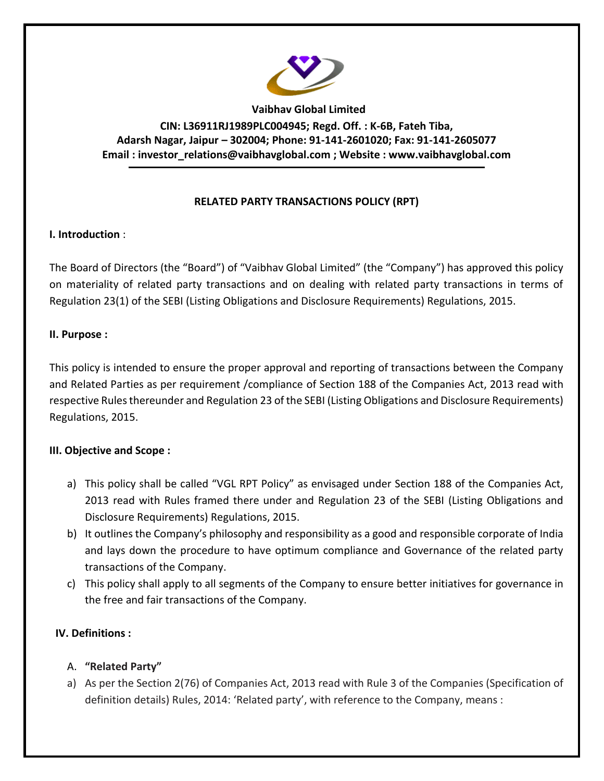

**Vaibhav Global Limited CIN: L36911RJ1989PLC004945; Regd. Off. : K-6B, Fateh Tiba, Adarsh Nagar, Jaipur – 302004; Phone: 91-141-2601020; Fax: 91-141-2605077 Email : [investor\\_relations@vaibhavglobal.com](mailto:vgl@vaibhavglobal.com) ; Website : [www.vaibhavglobal.com](http://www.vaibhavglobal.com/)**

## **RELATED PARTY TRANSACTIONS POLICY (RPT)**

## **I. Introduction** :

The Board of Directors (the "Board") of "Vaibhav Global Limited" (the "Company") has approved this policy on materiality of related party transactions and on dealing with related party transactions in terms of Regulation 23(1) of the SEBI (Listing Obligations and Disclosure Requirements) Regulations, 2015.

#### **II. Purpose :**

This policy is intended to ensure the proper approval and reporting of transactions between the Company and Related Parties as per requirement /compliance of Section 188 of the Companies Act, 2013 read with respective Rules thereunder and Regulation 23 of the SEBI (Listing Obligations and Disclosure Requirements) Regulations, 2015.

## **III. Objective and Scope :**

- a) This policy shall be called "VGL RPT Policy" as envisaged under Section 188 of the Companies Act, 2013 read with Rules framed there under and Regulation 23 of the SEBI (Listing Obligations and Disclosure Requirements) Regulations, 2015.
- b) It outlines the Company's philosophy and responsibility as a good and responsible corporate of India and lays down the procedure to have optimum compliance and Governance of the related party transactions of the Company.
- c) This policy shall apply to all segments of the Company to ensure better initiatives for governance in the free and fair transactions of the Company.

## **IV. Definitions :**

## A. **"Related Party"**

a) As per the Section 2(76) of Companies Act, 2013 read with Rule 3 of the Companies (Specification of definition details) Rules, 2014: 'Related party', with reference to the Company, means :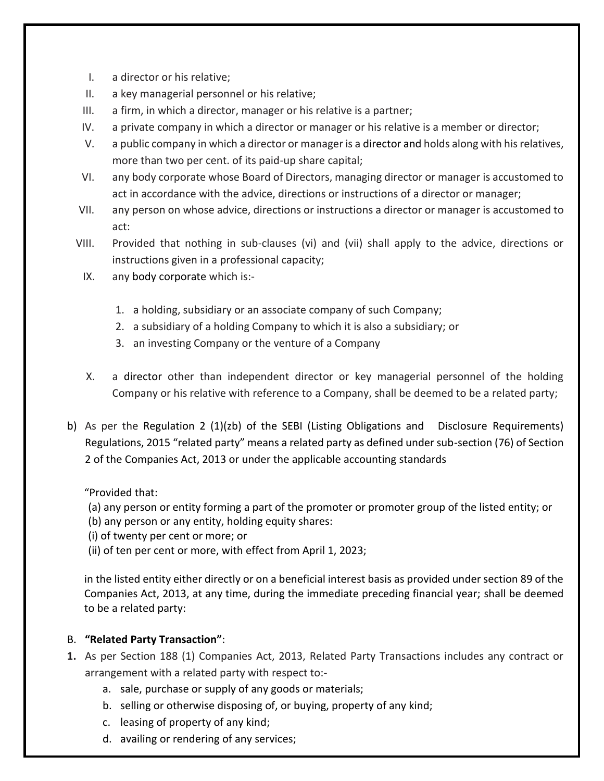- I. a director or his relative;
- II. a key managerial personnel or his relative;
- III. a firm, in which a director, manager or his relative is a partner;
- IV. a private company in which a director or manager or his relative is a member or director;
- V. a public company in which a director or manager is a director and holds along with his relatives, more than two per cent. of its paid-up share capital;
- VI. any body corporate whose Board of Directors, managing director or manager is accustomed to act in accordance with the advice, directions or instructions of a director or manager;
- VII. any person on whose advice, directions or instructions a director or manager is accustomed to act:
- VIII. Provided that nothing in sub-clauses (vi) and (vii) shall apply to the advice, directions or instructions given in a professional capacity;
	- IX. any body corporate which is:-
		- 1. a holding, subsidiary or an associate company of such Company;
		- 2. a subsidiary of a holding Company to which it is also a subsidiary; or
		- 3. an investing Company or the venture of a Company
	- X. a director other than independent director or key managerial personnel of the holding Company or his relative with reference to a Company, shall be deemed to be a related party;
- b) As per the Regulation 2 (1)(zb) of the SEBI (Listing Obligations and Disclosure Requirements) Regulations, 2015 "related party" means a related party as defined under sub-section (76) of Section 2 of the Companies Act, 2013 or under the applicable accounting standards

## "Provided that:

- (a) any person or entity forming a part of the promoter or promoter group of the listed entity; or
- (b) any person or any entity, holding equity shares:
- (i) of twenty per cent or more; or
- (ii) of ten per cent or more, with effect from April 1, 2023;

in the listed entity either directly or on a beneficial interest basis as provided under section 89 of the Companies Act, 2013, at any time, during the immediate preceding financial year; shall be deemed to be a related party:

# B. **"Related Party Transaction"**:

- **1.** As per Section 188 (1) Companies Act, 2013, Related Party Transactions includes any contract or arrangement with a related party with respect to:
	- a. sale, purchase or supply of any goods or materials;
	- b. selling or otherwise disposing of, or buying, property of any kind;
	- c. leasing of property of any kind;
	- d. availing or rendering of any services;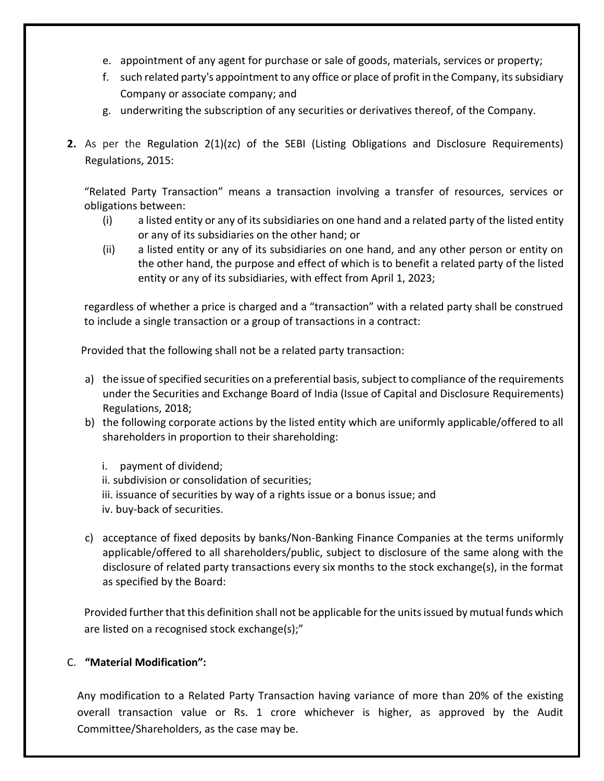- e. appointment of any agent for purchase or sale of goods, materials, services or property;
- f. such related party's appointment to any office or place of profit in the Company, its subsidiary Company or associate company; and
- g. underwriting the subscription of any securities or derivatives thereof, of the Company.
- **2.** As per the Regulation 2(1)(zc) of the SEBI (Listing Obligations and Disclosure Requirements) Regulations, 2015:

"Related Party Transaction" means a transaction involving a transfer of resources, services or obligations between:

- (i) a listed entity or any of its subsidiaries on one hand and a related party of the listed entity or any of its subsidiaries on the other hand; or
- (ii) a listed entity or any of its subsidiaries on one hand, and any other person or entity on the other hand, the purpose and effect of which is to benefit a related party of the listed entity or any of its subsidiaries, with effect from April 1, 2023;

regardless of whether a price is charged and a "transaction" with a related party shall be construed to include a single transaction or a group of transactions in a contract:

Provided that the following shall not be a related party transaction:

- a) the issue of specified securities on a preferential basis, subject to compliance of the requirements under the Securities and Exchange Board of India (Issue of Capital and Disclosure Requirements) Regulations, 2018;
- b) the following corporate actions by the listed entity which are uniformly applicable/offered to all shareholders in proportion to their shareholding:
	- i. payment of dividend;
	- ii. subdivision or consolidation of securities;
	- iii. issuance of securities by way of a rights issue or a bonus issue; and
	- iv. buy-back of securities.
- c) acceptance of fixed deposits by banks/Non-Banking Finance Companies at the terms uniformly applicable/offered to all shareholders/public, subject to disclosure of the same along with the disclosure of related party transactions every six months to the stock exchange(s), in the format as specified by the Board:

Provided further that this definition shall not be applicable for the units issued by mutual funds which are listed on a recognised stock exchange(s);"

## C. **"Material Modification":**

Any modification to a Related Party Transaction having variance of more than 20% of the existing overall transaction value or Rs. 1 crore whichever is higher, as approved by the Audit Committee/Shareholders, as the case may be.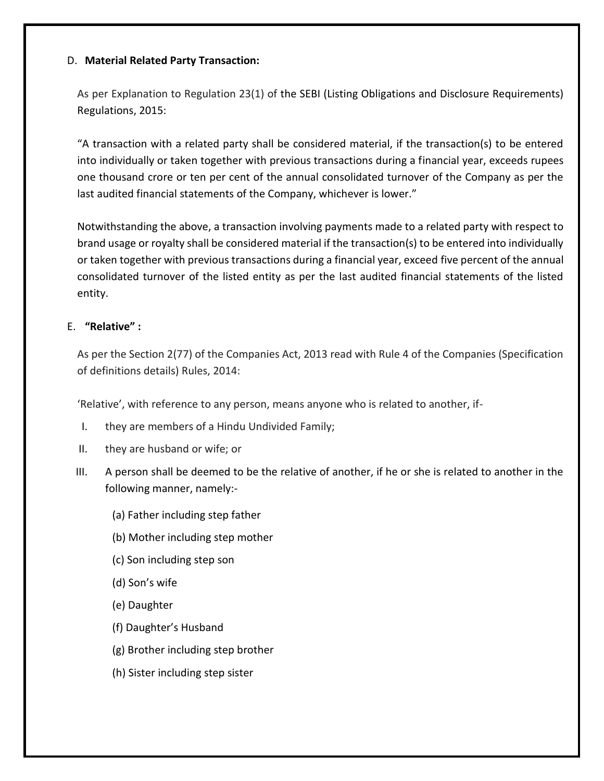#### D. **Material Related Party Transaction:**

As per Explanation to Regulation 23(1) of the SEBI (Listing Obligations and Disclosure Requirements) Regulations, 2015:

"A transaction with a related party shall be considered material, if the transaction(s) to be entered into individually or taken together with previous transactions during a financial year, exceeds rupees one thousand crore or ten per cent of the annual consolidated turnover of the Company as per the last audited financial statements of the Company, whichever is lower."

Notwithstanding the above, a transaction involving payments made to a related party with respect to brand usage or royalty shall be considered material if the transaction(s) to be entered into individually or taken together with previous transactions during a financial year, exceed five percent of the annual consolidated turnover of the listed entity as per the last audited financial statements of the listed entity.

#### E. **"Relative" :**

As per the Section 2(77) of the Companies Act, 2013 read with Rule 4 of the Companies (Specification of definitions details) Rules, 2014:

'Relative', with reference to any person, means anyone who is related to another, if-

- I. they are members of a Hindu Undivided Family;
- II. they are husband or wife; or
- III. A person shall be deemed to be the relative of another, if he or she is related to another in the following manner, namely:-
	- (a) Father including step father
	- (b) Mother including step mother
	- (c) Son including step son
	- (d) Son's wife
	- (e) Daughter
	- (f) Daughter's Husband
	- (g) Brother including step brother
	- (h) Sister including step sister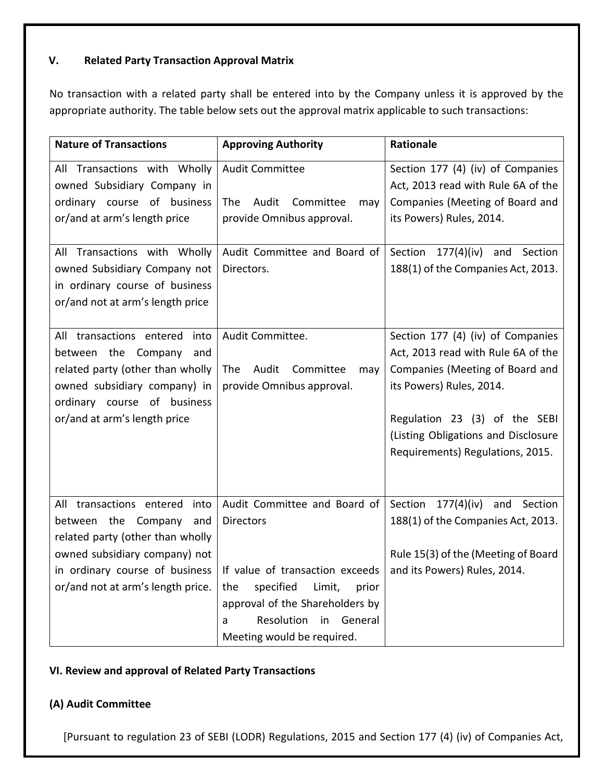# **V. Related Party Transaction Approval Matrix**

No transaction with a related party shall be entered into by the Company unless it is approved by the appropriate authority. The table below sets out the approval matrix applicable to such transactions:

| <b>Nature of Transactions</b>                                                                                                                                                                                                         | <b>Approving Authority</b>                                                                                                                                                                                                      | Rationale                                                                                                                                                                                                                                          |
|---------------------------------------------------------------------------------------------------------------------------------------------------------------------------------------------------------------------------------------|---------------------------------------------------------------------------------------------------------------------------------------------------------------------------------------------------------------------------------|----------------------------------------------------------------------------------------------------------------------------------------------------------------------------------------------------------------------------------------------------|
| All Transactions with Wholly<br>owned Subsidiary Company in<br>ordinary course of business<br>or/and at arm's length price<br>All Transactions with Wholly<br>owned Subsidiary Company not<br>in ordinary course of business          | <b>Audit Committee</b><br>Audit Committee<br><b>The</b><br>may<br>provide Omnibus approval.<br>Audit Committee and Board of<br>Directors.                                                                                       | Section 177 (4) (iv) of Companies<br>Act, 2013 read with Rule 6A of the<br>Companies (Meeting of Board and<br>its Powers) Rules, 2014.<br>Section 177(4)(iv)<br>and<br>Section<br>188(1) of the Companies Act, 2013.                               |
| or/and not at arm's length price<br>All transactions entered<br>into<br>between the Company<br>and<br>related party (other than wholly<br>owned subsidiary company) in<br>ordinary course of business<br>or/and at arm's length price | Audit Committee.<br>Audit<br>Committee<br><b>The</b><br>may<br>provide Omnibus approval.                                                                                                                                        | Section 177 (4) (iv) of Companies<br>Act, 2013 read with Rule 6A of the<br>Companies (Meeting of Board and<br>its Powers) Rules, 2014.<br>Regulation 23 (3) of the SEBI<br>(Listing Obligations and Disclosure<br>Requirements) Regulations, 2015. |
| All transactions entered<br>into<br>between the Company<br>and<br>related party (other than wholly<br>owned subsidiary company) not<br>in ordinary course of business<br>or/and not at arm's length price.                            | Audit Committee and Board of<br><b>Directors</b><br>If value of transaction exceeds<br>specified<br>Limit,<br>the<br>prior<br>approval of the Shareholders by<br>Resolution<br>General<br>in<br>a<br>Meeting would be required. | Section<br>177(4)(iv)<br>and<br>Section<br>188(1) of the Companies Act, 2013.<br>Rule 15(3) of the (Meeting of Board<br>and its Powers) Rules, 2014.                                                                                               |

## **VI. Review and approval of Related Party Transactions**

## **(A) Audit Committee**

[Pursuant to regulation 23 of SEBI (LODR) Regulations, 2015 and Section 177 (4) (iv) of Companies Act,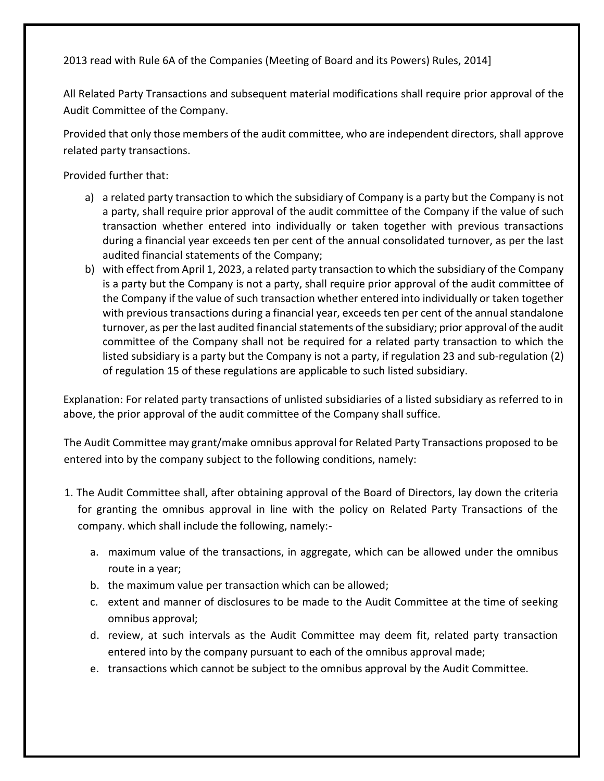2013 read with Rule 6A of the Companies (Meeting of Board and its Powers) Rules, 2014]

All Related Party Transactions and subsequent material modifications shall require prior approval of the Audit Committee of the Company.

Provided that only those members of the audit committee, who are independent directors, shall approve related party transactions.

Provided further that:

- a) a related party transaction to which the subsidiary of Company is a party but the Company is not a party, shall require prior approval of the audit committee of the Company if the value of such transaction whether entered into individually or taken together with previous transactions during a financial year exceeds ten per cent of the annual consolidated turnover, as per the last audited financial statements of the Company;
- b) with effect from April 1, 2023, a related party transaction to which the subsidiary of the Company is a party but the Company is not a party, shall require prior approval of the audit committee of the Company if the value of such transaction whether entered into individually or taken together with previous transactions during a financial year, exceeds ten per cent of the annual standalone turnover, as per the last audited financial statements of the subsidiary; prior approval of the audit committee of the Company shall not be required for a related party transaction to which the listed subsidiary is a party but the Company is not a party, if regulation 23 and sub-regulation (2) of regulation 15 of these regulations are applicable to such listed subsidiary.

Explanation: For related party transactions of unlisted subsidiaries of a listed subsidiary as referred to in above, the prior approval of the audit committee of the Company shall suffice.

The Audit Committee may grant/make omnibus approval for Related Party Transactions proposed to be entered into by the company subject to the following conditions, namely:

- 1. The Audit Committee shall, after obtaining approval of the Board of Directors, lay down the criteria for granting the omnibus approval in line with the policy on Related Party Transactions of the company. which shall include the following, namely:
	- a. maximum value of the transactions, in aggregate, which can be allowed under the omnibus route in a year;
	- b. the maximum value per transaction which can be allowed;
	- c. extent and manner of disclosures to be made to the Audit Committee at the time of seeking omnibus approval;
	- d. review, at such intervals as the Audit Committee may deem fit, related party transaction entered into by the company pursuant to each of the omnibus approval made;
	- e. transactions which cannot be subject to the omnibus approval by the Audit Committee.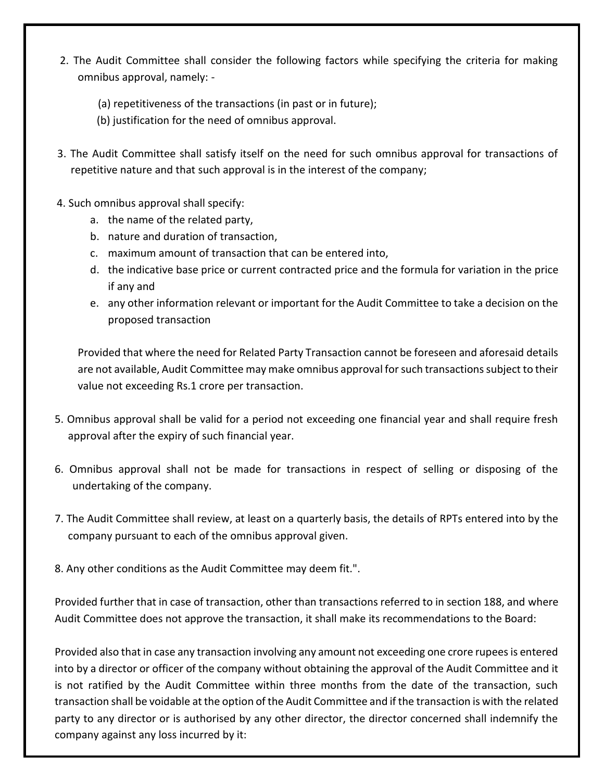- 2. The Audit Committee shall consider the following factors while specifying the criteria for making omnibus approval, namely: -
	- (a) repetitiveness of the transactions (in past or in future);
	- (b) justification for the need of omnibus approval.
- 3. The Audit Committee shall satisfy itself on the need for such omnibus approval for transactions of repetitive nature and that such approval is in the interest of the company;
- 4. Such omnibus approval shall specify:
	- a. the name of the related party,
	- b. nature and duration of transaction,
	- c. maximum amount of transaction that can be entered into,
	- d. the indicative base price or current contracted price and the formula for variation in the price if any and
	- e. any other information relevant or important for the Audit Committee to take a decision on the proposed transaction

Provided that where the need for Related Party Transaction cannot be foreseen and aforesaid details are not available, Audit Committee may make omnibus approval for such transactions subject to their value not exceeding Rs.1 crore per transaction.

- 5. Omnibus approval shall be valid for a period not exceeding one financial year and shall require fresh approval after the expiry of such financial year.
- 6. Omnibus approval shall not be made for transactions in respect of selling or disposing of the undertaking of the company.
- 7. The Audit Committee shall review, at least on a quarterly basis, the details of RPTs entered into by the company pursuant to each of the omnibus approval given.
- 8. Any other conditions as the Audit Committee may deem fit.".

Provided further that in case of transaction, other than transactions referred to in section 188, and where Audit Committee does not approve the transaction, it shall make its recommendations to the Board:

Provided also that in case any transaction involving any amount not exceeding one crore rupees is entered into by a director or officer of the company without obtaining the approval of the Audit Committee and it is not ratified by the Audit Committee within three months from the date of the transaction, such transaction shall be voidable at the option of the Audit Committee and if the transaction is with the related party to any director or is authorised by any other director, the director concerned shall indemnify the company against any loss incurred by it: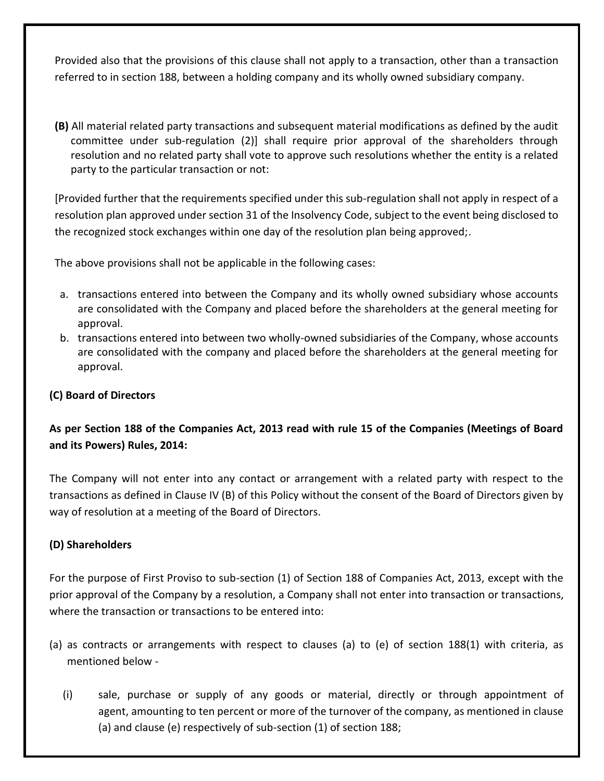Provided also that the provisions of this clause shall not apply to a transaction, other than a transaction referred to in section 188, between a holding company and its wholly owned subsidiary company.

**(B)** All material related party transactions and subsequent material modifications as defined by the audit committee under sub-regulation (2)] shall require prior approval of the shareholders through resolution and no related party shall vote to approve such resolutions whether the entity is a related party to the particular transaction or not:

[Provided further that the requirements specified under this sub-regulation shall not apply in respect of a resolution plan approved under section 31 of the Insolvency Code, subject to the event being disclosed to the recognized stock exchanges within one day of the resolution plan being approved;.

The above provisions shall not be applicable in the following cases:

- a. transactions entered into between the Company and its wholly owned subsidiary whose accounts are consolidated with the Company and placed before the shareholders at the general meeting for approval.
- b. transactions entered into between two wholly-owned subsidiaries of the Company, whose accounts are consolidated with the company and placed before the shareholders at the general meeting for approval.

## **(C) Board of Directors**

# **As per Section 188 of the Companies Act, 2013 read with rule 15 of the Companies (Meetings of Board and its Powers) Rules, 2014:**

The Company will not enter into any contact or arrangement with a related party with respect to the transactions as defined in Clause IV (B) of this Policy without the consent of the Board of Directors given by way of resolution at a meeting of the Board of Directors.

#### **(D) Shareholders**

For the purpose of First Proviso to sub-section (1) of Section 188 of Companies Act, 2013, except with the prior approval of the Company by a resolution, a Company shall not enter into transaction or transactions, where the transaction or transactions to be entered into:

- (a) as contracts or arrangements with respect to clauses (a) to (e) of section 188(1) with criteria, as mentioned below -
	- (i) sale, purchase or supply of any goods or material, directly or through appointment of agent, amounting to ten percent or more of the turnover of the company, as mentioned in clause (a) and clause (e) respectively of sub-section (1) of [section 188;](http://ebook.mca.gov.in/Actpagedisplay.aspx?PAGENAME=17582)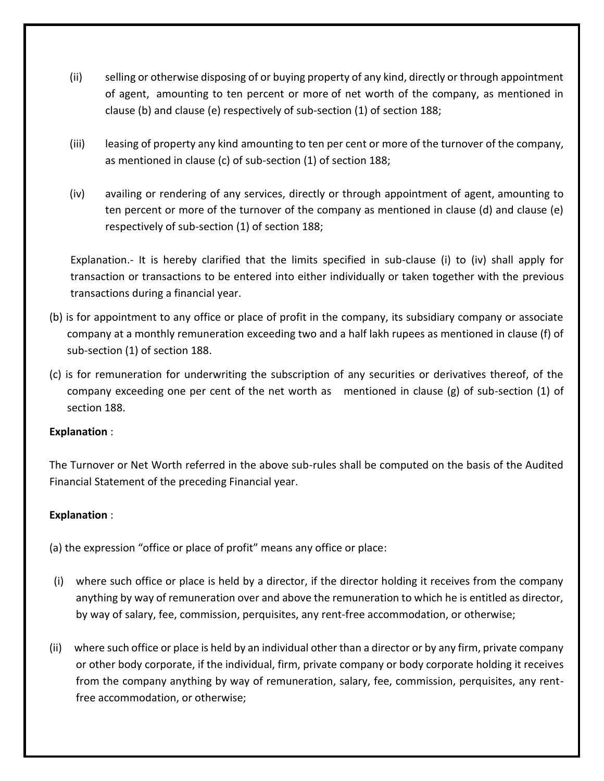- (ii) selling or otherwise disposing of or buying property of any kind, directly or through appointment of agent, amounting to ten percent or more of net worth of the company, as mentioned in clause (b) and clause (e) respectively of sub-section (1) of [section 188;](http://ebook.mca.gov.in/Actpagedisplay.aspx?PAGENAME=17582)
- (iii) leasing of property any kind amounting to ten per cent or more of the turnover of the company, as mentioned in clause (c) of sub-section (1) of [section 188;](http://ebook.mca.gov.in/Actpagedisplay.aspx?PAGENAME=17582)
- (iv) availing or rendering of any services, directly or through appointment of agent, amounting to ten percent or more of the turnover of the company as mentioned in clause (d) and clause (e) respectively of sub-section (1) of [section 188;](http://ebook.mca.gov.in/Actpagedisplay.aspx?PAGENAME=17582)

Explanation.- It is hereby clarified that the limits specified in sub-clause (i) to (iv) shall apply for transaction or transactions to be entered into either individually or taken together with the previous transactions during a financial year.

- (b) is for appointment to any office or place of profit in the company, its subsidiary company or associate company at a monthly remuneration exceeding two and a half lakh rupees as mentioned in clause (f) of sub-section (1) of [section 188.](http://ebook.mca.gov.in/Actpagedisplay.aspx?PAGENAME=17582)
- (c) is for remuneration for underwriting the subscription of any securities or derivatives thereof, of the company exceeding one per cent of the net worth as mentioned in clause (g) of sub-section (1) of [section 188.](http://ebook.mca.gov.in/Actpagedisplay.aspx?PAGENAME=17582)

## **Explanation** :

The Turnover or Net Worth referred in the above sub-rules shall be computed on the basis of the Audited Financial Statement of the preceding Financial year.

## **Explanation** :

(a) the expression "office or place of profit" means any office or place:

- (i) where such office or place is held by a director, if the director holding it receives from the company anything by way of remuneration over and above the remuneration to which he is entitled as director, by way of salary, fee, commission, perquisites, any rent-free accommodation, or otherwise;
- (ii) where such office or place is held by an individual other than a director or by any firm, private company or other body corporate, if the individual, firm, private company or body corporate holding it receives from the company anything by way of remuneration, salary, fee, commission, perquisites, any rentfree accommodation, or otherwise;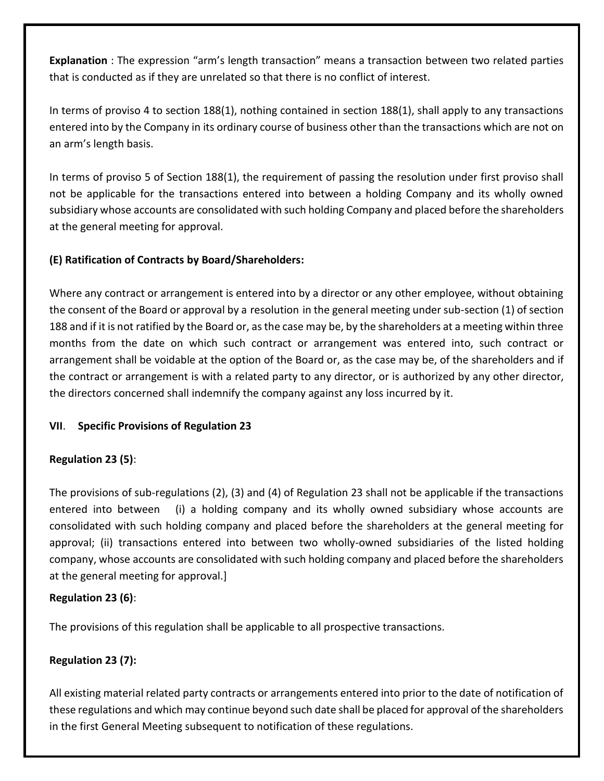**Explanation** : The expression "arm's length transaction" means a transaction between two related parties that is conducted as if they are unrelated so that there is no conflict of interest.

In terms of proviso 4 to section 188(1), nothing contained in section 188(1), shall apply to any transactions entered into by the Company in its ordinary course of business other than the transactions which are not on an arm's length basis.

In terms of proviso 5 of Section 188(1), the requirement of passing the resolution under first proviso shall not be applicable for the transactions entered into between a holding Company and its wholly owned subsidiary whose accounts are consolidated with such holding Company and placed before the shareholders at the general meeting for approval.

## **(E) Ratification of Contracts by Board/Shareholders:**

Where any contract or arrangement is entered into by a director or any other employee, without obtaining the consent of the Board or approval by a resolution in the general meeting under sub-section (1) of section 188 and if it is not ratified by the Board or, as the case may be, by the shareholders at a meeting within three months from the date on which such contract or arrangement was entered into, such contract or arrangement shall be voidable at the option of the Board or, as the case may be, of the shareholders and if the contract or arrangement is with a related party to any director, or is authorized by any other director, the directors concerned shall indemnify the company against any loss incurred by it.

# **VII**. **Specific Provisions of Regulation 23**

# **Regulation 23 (5)**:

The provisions of sub-regulations (2), (3) and (4) of Regulation 23 shall not be applicable if the transactions entered into between (i) a holding company and its wholly owned subsidiary whose accounts are consolidated with such holding company and placed before the shareholders at the general meeting for approval; (ii) transactions entered into between two wholly-owned subsidiaries of the listed holding company, whose accounts are consolidated with such holding company and placed before the shareholders at the general meeting for approval.]

## **Regulation 23 (6)**:

The provisions of this regulation shall be applicable to all prospective transactions.

# **Regulation 23 (7):**

All existing material related party contracts or arrangements entered into prior to the date of notification of these regulations and which may continue beyond such date shall be placed for approval of the shareholders in the first General Meeting subsequent to notification of these regulations.